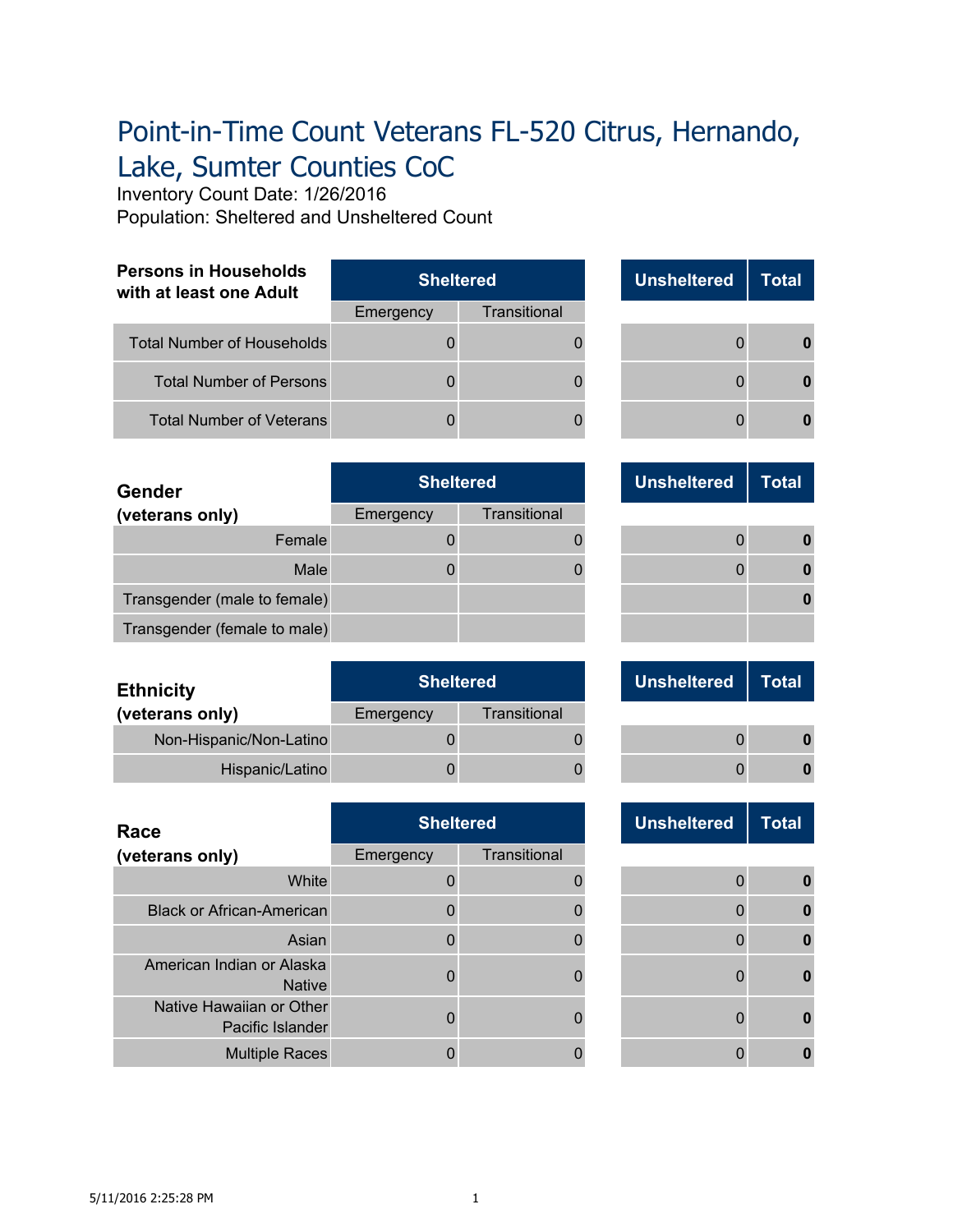## Point-in-Time Count Veterans FL-520 Citrus, Hernando, Lake, Sumter Counties CoC

Inventory Count Date: 1/26/2016

Population: Sheltered and Unsheltered Count

| <b>Persons in Households</b><br>with at least one Adult | <b>Sheltered</b> |              |  | <b>Unsheltered</b> | Total |
|---------------------------------------------------------|------------------|--------------|--|--------------------|-------|
|                                                         | Emergency        | Transitional |  |                    |       |
| <b>Total Number of Households</b>                       |                  |              |  |                    |       |
| <b>Total Number of Persons</b>                          |                  |              |  |                    |       |
| <b>Total Number of Veterans</b>                         |                  |              |  |                    |       |

| <b>Unsheltered</b> | <b>Total</b> |
|--------------------|--------------|
| $\Omega$           |              |
| $\Omega$           |              |
| O                  |              |

| <b>Gender</b>                | <b>Sheltered</b> |              |  |   | <b>Unsheltered</b> | Total |
|------------------------------|------------------|--------------|--|---|--------------------|-------|
| (veterans only)              | Emergency        | Transitional |  |   |                    |       |
| Female                       |                  |              |  |   |                    |       |
| Male                         |                  |              |  | n |                    |       |
| Transgender (male to female) |                  |              |  |   |                    |       |
| Transgender (female to male) |                  |              |  |   |                    |       |

| <b>Ethnicity</b>        |           | <b>Sheltered</b> |  | <b>Unsheltered</b> | Total |
|-------------------------|-----------|------------------|--|--------------------|-------|
| (veterans only)         | Emergency | Transitional     |  |                    |       |
| Non-Hispanic/Non-Latino |           |                  |  |                    |       |
| Hispanic/Latino         |           |                  |  |                    |       |

| Race                                         | <b>Sheltered</b> |              |  | <b>Unsheltered</b> | <b>Total</b> |
|----------------------------------------------|------------------|--------------|--|--------------------|--------------|
| (veterans only)                              | Emergency        | Transitional |  |                    |              |
| White                                        |                  |              |  |                    |              |
| <b>Black or African-American</b>             |                  |              |  |                    |              |
| Asian                                        |                  |              |  |                    |              |
| American Indian or Alaska<br><b>Native</b>   | U                |              |  |                    |              |
| Native Hawaiian or Other<br>Pacific Islander | U                |              |  |                    |              |
| <b>Multiple Races</b>                        |                  |              |  |                    |              |

| <b>Total</b>   | <b>Unsheltered</b> |  |
|----------------|--------------------|--|
| $\overline{0}$ |                    |  |
| 0              |                    |  |
|                |                    |  |
|                |                    |  |

| <b>Unsheltered</b> | Total |
|--------------------|-------|
|                    |       |
|                    |       |

| <b>Unsheltered</b>                                                   |  |  |
|----------------------------------------------------------------------|--|--|
|                                                                      |  |  |
|                                                                      |  |  |
|                                                                      |  |  |
|                                                                      |  |  |
|                                                                      |  |  |
|                                                                      |  |  |
|                                                                      |  |  |
|                                                                      |  |  |
|                                                                      |  |  |
|                                                                      |  |  |
| 0                                                                    |  |  |
| $\mathbf{0}$<br>$\overline{0}$<br>$\mathbf 0$<br>0<br>$\overline{0}$ |  |  |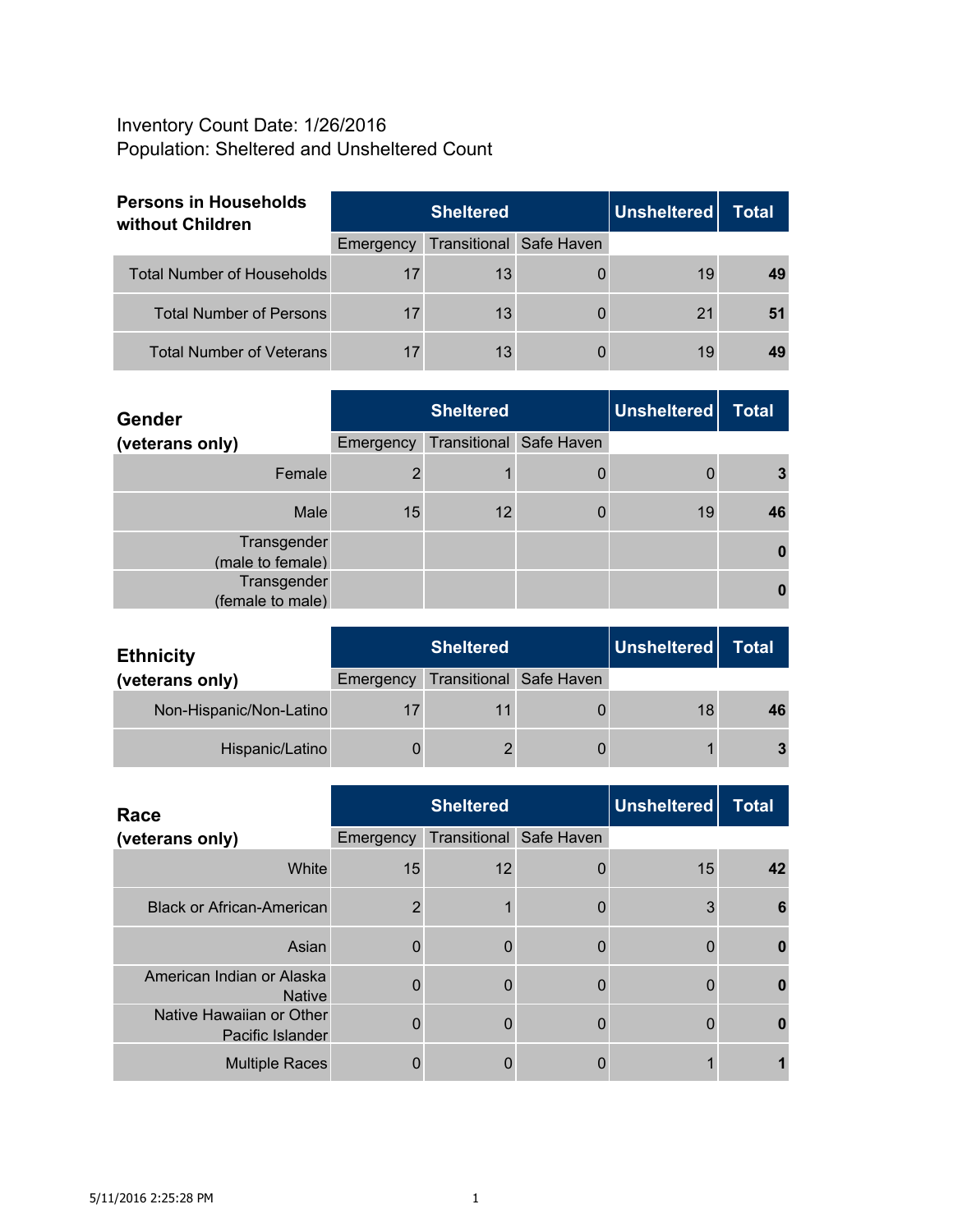## Inventory Count Date: 1/26/2016 Population: Sheltered and Unsheltered Count

| <b>Persons in Households</b><br>without Children | <b>Sheltered</b> |                                |  | Unsheltered | Total |
|--------------------------------------------------|------------------|--------------------------------|--|-------------|-------|
|                                                  | Emergency        | <b>Transitional Safe Haven</b> |  |             |       |
| <b>Total Number of Households</b>                | 17               | 13                             |  | 19          |       |
| <b>Total Number of Persons</b>                   | 17               | 13                             |  | 21          |       |
| <b>Total Number of Veterans</b>                  | 17               | 13                             |  | 19          |       |

| <b>Gender</b>                   |           | <b>Sheltered</b>        | Unsheltered | <b>Total</b> |
|---------------------------------|-----------|-------------------------|-------------|--------------|
| (veterans only)                 | Emergency | Transitional Safe Haven |             |              |
| Female                          |           |                         |             |              |
| Male                            | 15        | 12                      | 19          |              |
| Transgender<br>(male to female) |           |                         |             |              |
| Transgender<br>(female to male) |           |                         |             |              |

| <b>Ethnicity</b>        |           | <b>Sheltered</b>        | Unsheltered | Total |
|-------------------------|-----------|-------------------------|-------------|-------|
| (veterans only)         | Emergency | Transitional Safe Haven |             |       |
| Non-Hispanic/Non-Latino |           |                         | 18          | 46    |
| Hispanic/Latino         |           |                         |             | 3     |

| Race                                         |           | <b>Sheltered</b>               | <b>Unsheltered</b> | <b>Total</b> |
|----------------------------------------------|-----------|--------------------------------|--------------------|--------------|
| (veterans only)                              | Emergency | <b>Transitional Safe Haven</b> |                    |              |
| White                                        | 15        | 12                             | 15                 |              |
| <b>Black or African-American</b>             | っ         |                                | 3                  |              |
| Asian                                        |           |                                |                    |              |
| American Indian or Alaska<br><b>Native</b>   |           |                                |                    |              |
| Native Hawaiian or Other<br>Pacific Islander |           |                                |                    |              |
| <b>Multiple Races</b>                        |           |                                |                    |              |